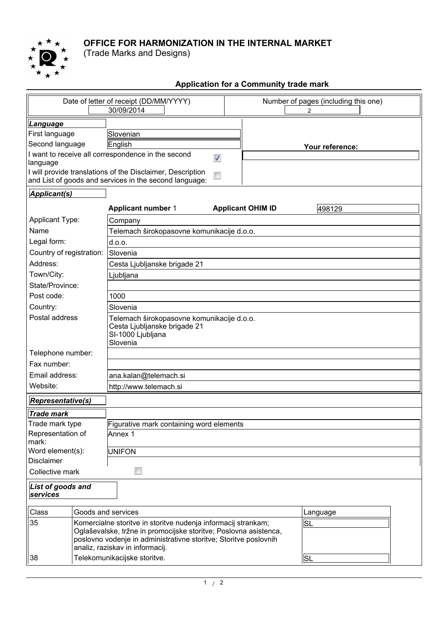

## **OFFICE FOR HARMONIZATION IN THE INTERNAL MARKET**

(Trade Marks and Designs)

## **Application for a Community trade mark**

| Date of letter of receipt (DD/MM/YYYY)<br>30/09/2014   |                                                               |                                                                  |  | Number of pages (including this one)<br>2 |           |  |  |  |
|--------------------------------------------------------|---------------------------------------------------------------|------------------------------------------------------------------|--|-------------------------------------------|-----------|--|--|--|
| Language                                               |                                                               |                                                                  |  |                                           |           |  |  |  |
| First language                                         |                                                               | Slovenian                                                        |  |                                           |           |  |  |  |
| Second language                                        |                                                               | English                                                          |  | Your reference:                           |           |  |  |  |
|                                                        |                                                               | I want to receive all correspondence in the second<br>Ø          |  |                                           |           |  |  |  |
| language                                               |                                                               |                                                                  |  |                                           |           |  |  |  |
|                                                        |                                                               | I will provide translations of the Disclaimer, Description       |  |                                           |           |  |  |  |
| and List of goods and services in the second language: |                                                               |                                                                  |  |                                           |           |  |  |  |
| Applicant(s)                                           |                                                               |                                                                  |  |                                           |           |  |  |  |
|                                                        |                                                               | <b>Applicant number 1</b>                                        |  | <b>Applicant OHIM ID</b>                  | 498129    |  |  |  |
| <b>Applicant Type:</b>                                 |                                                               | Company                                                          |  |                                           |           |  |  |  |
| Name                                                   |                                                               | Telemach širokopasovne komunikacije d.o.o.                       |  |                                           |           |  |  |  |
| Legal form:                                            |                                                               | d.o.o.                                                           |  |                                           |           |  |  |  |
| Country of registration:                               |                                                               | Slovenia                                                         |  |                                           |           |  |  |  |
| Address:                                               |                                                               | Cesta Ljubljanske brigade 21                                     |  |                                           |           |  |  |  |
| Town/City:                                             |                                                               | Ljubljana                                                        |  |                                           |           |  |  |  |
| State/Province:                                        |                                                               |                                                                  |  |                                           |           |  |  |  |
| Post code:                                             |                                                               | 1000                                                             |  |                                           |           |  |  |  |
| Country:                                               |                                                               | Slovenia                                                         |  |                                           |           |  |  |  |
| Postal address                                         |                                                               | Telemach širokopasovne komunikacije d.o.o.                       |  |                                           |           |  |  |  |
|                                                        |                                                               | Cesta Ljubljanske brigade 21                                     |  |                                           |           |  |  |  |
|                                                        |                                                               | SI-1000 Ljubljana<br>Slovenia                                    |  |                                           |           |  |  |  |
| Telephone number:                                      |                                                               |                                                                  |  |                                           |           |  |  |  |
| Fax number:                                            |                                                               |                                                                  |  |                                           |           |  |  |  |
| Email address:                                         |                                                               |                                                                  |  |                                           |           |  |  |  |
| Website:                                               |                                                               | ana.kalan@telemach.si                                            |  |                                           |           |  |  |  |
|                                                        |                                                               | http://www.telemach.si                                           |  |                                           |           |  |  |  |
| <b>Representative(s)</b>                               |                                                               |                                                                  |  |                                           |           |  |  |  |
| Trade mark                                             |                                                               |                                                                  |  |                                           |           |  |  |  |
| Trade mark type                                        |                                                               | Figurative mark containing word elements                         |  |                                           |           |  |  |  |
| Representation of<br>mark:                             |                                                               | Annex 1                                                          |  |                                           |           |  |  |  |
| Word element(s):                                       |                                                               | <b>UNIFON</b>                                                    |  |                                           |           |  |  |  |
| <b>Disclaimer</b>                                      |                                                               |                                                                  |  |                                           |           |  |  |  |
| Collective mark                                        |                                                               |                                                                  |  |                                           |           |  |  |  |
| List of goods and                                      |                                                               |                                                                  |  |                                           |           |  |  |  |
| services                                               |                                                               |                                                                  |  |                                           |           |  |  |  |
| Class                                                  |                                                               | Goods and services                                               |  |                                           | Language  |  |  |  |
| 35                                                     | Komercialne storitve in storitve nudenja informacij strankam; |                                                                  |  |                                           | SL        |  |  |  |
|                                                        |                                                               | Oglaševalske, tržne in promocijske storitve; Poslovna asistenca, |  |                                           |           |  |  |  |
|                                                        |                                                               | poslovno vodenje in administrativne storitve; Storitve poslovnih |  |                                           |           |  |  |  |
| 38                                                     |                                                               | analiz, raziskav in informacij.                                  |  |                                           | <b>SL</b> |  |  |  |
|                                                        |                                                               | Telekomunikacijske storitve.                                     |  |                                           |           |  |  |  |